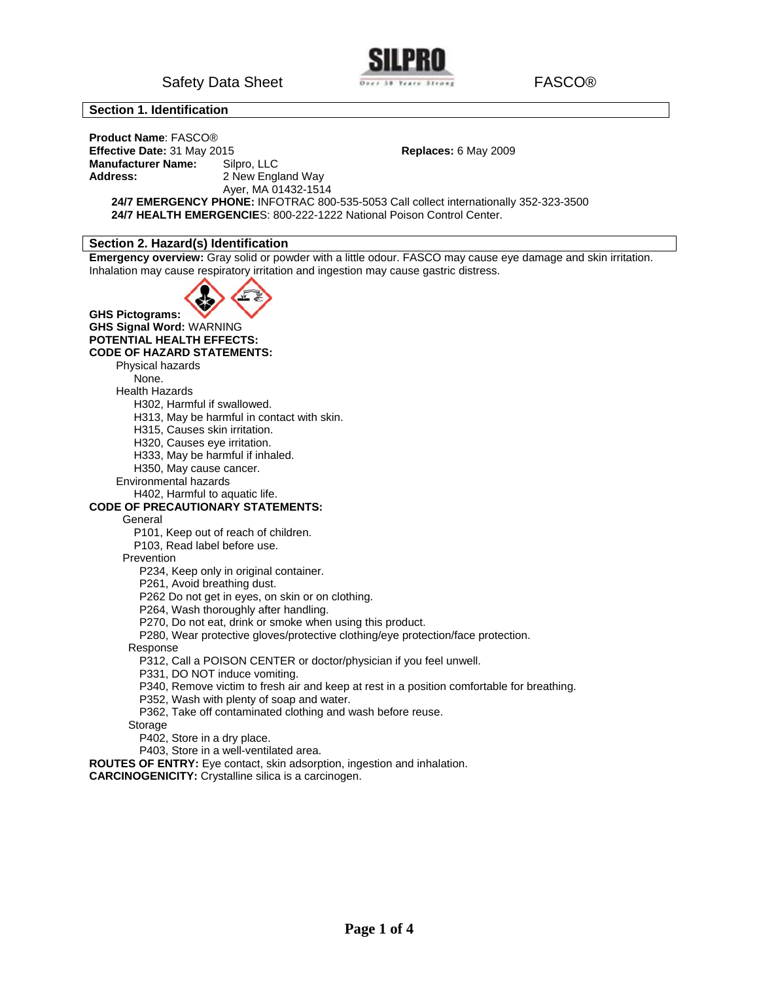Safety Data Sheet **FASCO®** 



#### **Section 1. Identification**

**Product Name**: FASCO® **Effective Date:** 31 May 2015 **Replaces:** 6 May 2009 **Manufacturer Name:** Silpro, LLC **Address:** 2 New England Way

Ayer, MA 01432-1514

**24/7 EMERGENCY PHONE:** INFOTRAC 800-535-5053 Call collect internationally 352-323-3500 **24/7 HEALTH EMERGENCIE**S: 800-222-1222 National Poison Control Center.

# **Section 2. Hazard(s) Identification**

**Emergency overview:** Gray solid or powder with a little odour. FASCO may cause eye damage and skin irritation. Inhalation may cause respiratory irritation and ingestion may cause gastric distress.



**CARCINOGENICITY:** Crystalline silica is a carcinogen.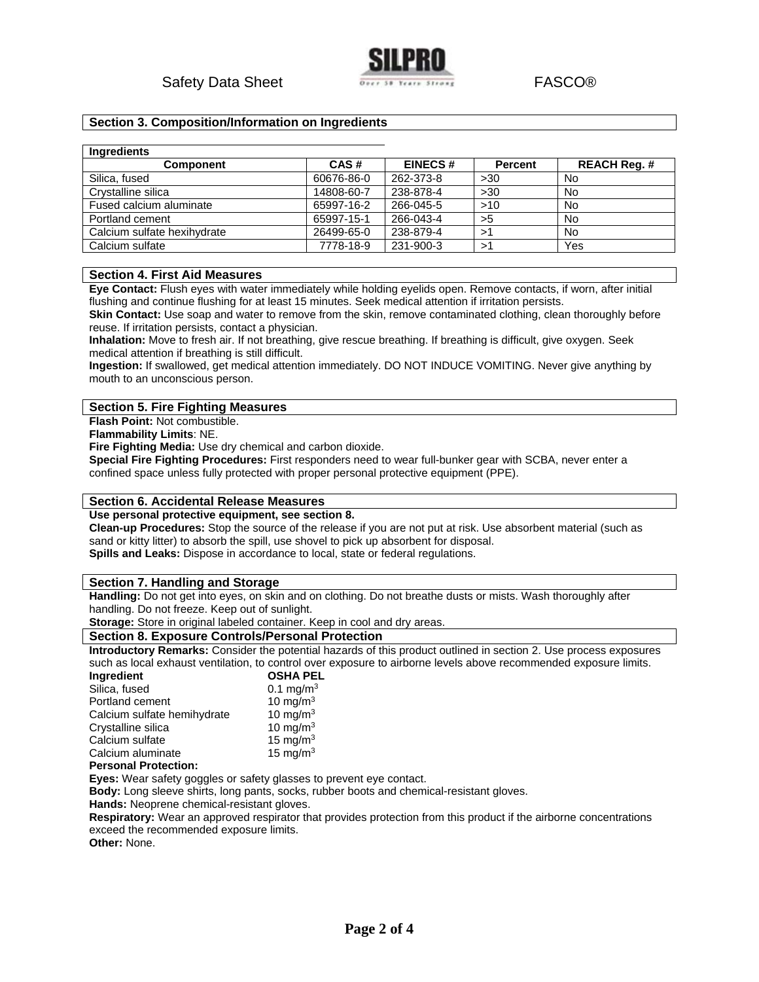

# **Section 3. Composition/Information on Ingredients**

| <b>Ingredients</b>          |            |                |                |                     |
|-----------------------------|------------|----------------|----------------|---------------------|
| <b>Component</b>            | CAS#       | <b>EINECS#</b> | <b>Percent</b> | <b>REACH Reg. #</b> |
| Silica, fused               | 60676-86-0 | 262-373-8      | >30            | No                  |
| Crystalline silica          | 14808-60-7 | 238-878-4      | $>30$          | No                  |
| Fused calcium aluminate     | 65997-16-2 | 266-045-5      | >10            | No                  |
| Portland cement             | 65997-15-1 | 266-043-4      | >5             | No                  |
| Calcium sulfate hexihydrate | 26499-65-0 | 238-879-4      | $\mathbf{r}$   | No                  |
| Calcium sulfate             | 7778-18-9  | 231-900-3      | $\mathbf{r}$   | Yes                 |

# **Section 4. First Aid Measures**

**Eye Contact:** Flush eyes with water immediately while holding eyelids open. Remove contacts, if worn, after initial flushing and continue flushing for at least 15 minutes. Seek medical attention if irritation persists.

**Skin Contact:** Use soap and water to remove from the skin, remove contaminated clothing, clean thoroughly before reuse. If irritation persists, contact a physician.

**Inhalation:** Move to fresh air. If not breathing, give rescue breathing. If breathing is difficult, give oxygen. Seek medical attention if breathing is still difficult.

**Ingestion:** If swallowed, get medical attention immediately. DO NOT INDUCE VOMITING. Never give anything by mouth to an unconscious person.

#### **Section 5. Fire Fighting Measures**

**Flash Point:** Not combustible.

**Flammability Limits**: NE.

**Fire Fighting Media:** Use dry chemical and carbon dioxide.

**Special Fire Fighting Procedures:** First responders need to wear full-bunker gear with SCBA, never enter a confined space unless fully protected with proper personal protective equipment (PPE).

#### **Section 6. Accidental Release Measures**

**Use personal protective equipment, see section 8.** 

**Clean-up Procedures:** Stop the source of the release if you are not put at risk. Use absorbent material (such as sand or kitty litter) to absorb the spill, use shovel to pick up absorbent for disposal. **Spills and Leaks:** Dispose in accordance to local, state or federal regulations.

# **Section 7. Handling and Storage**

**Handling:** Do not get into eyes, on skin and on clothing. Do not breathe dusts or mists. Wash thoroughly after handling. Do not freeze. Keep out of sunlight.

**Storage:** Store in original labeled container. Keep in cool and dry areas.

#### **Section 8. Exposure Controls/Personal Protection**

**Introductory Remarks:** Consider the potential hazards of this product outlined in section 2. Use process exposures such as local exhaust ventilation, to control over exposure to airborne levels above recommended exposure limits.

| <b>OSHA PEL</b>       |
|-----------------------|
| 0.1 mg/m <sup>3</sup> |
| 10 mg/m $3$           |
| 10 mg/m $3$           |
| 10 mg/m $3$           |
| 15 mg/m $3$           |
| 15 mg/m $3$           |
|                       |

#### **Personal Protection:**

**Eyes:** Wear safety goggles or safety glasses to prevent eye contact.

**Body:** Long sleeve shirts, long pants, socks, rubber boots and chemical-resistant gloves.

**Hands:** Neoprene chemical-resistant gloves.

**Respiratory:** Wear an approved respirator that provides protection from this product if the airborne concentrations exceed the recommended exposure limits.

**Other:** None.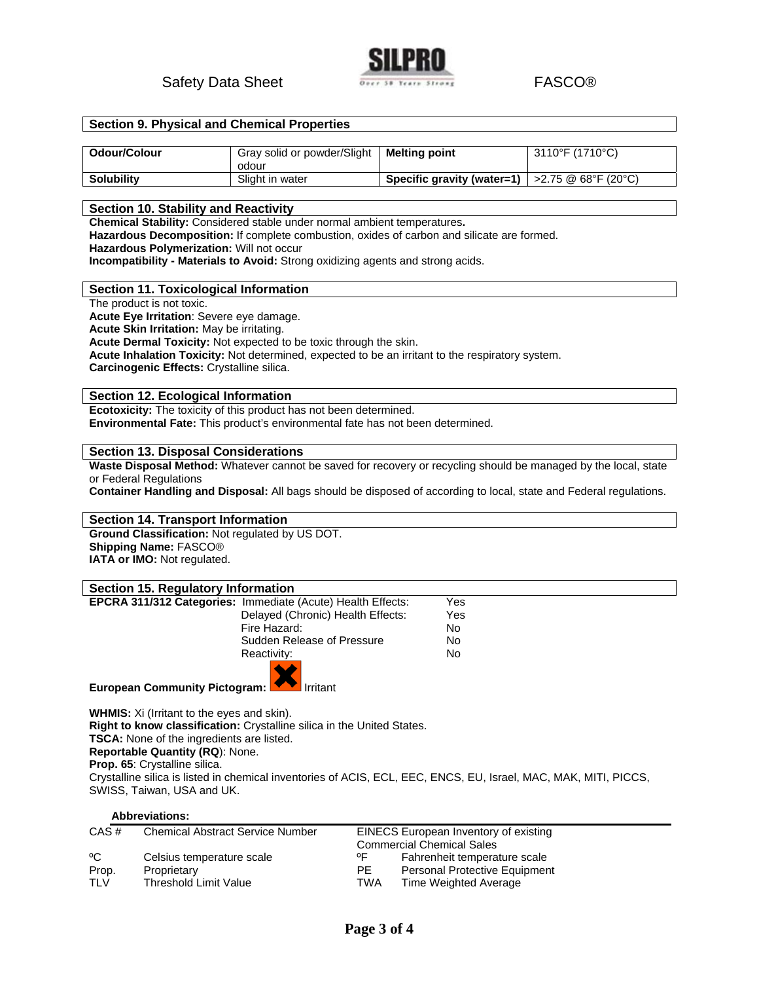

#### **Section 9. Physical and Chemical Properties**

| Odour/Colour      | Gray solid or powder/Slight | <b>Melting point</b>       | 3110°F (1710°C)       |
|-------------------|-----------------------------|----------------------------|-----------------------|
|                   | odour                       |                            |                       |
| <b>Solubility</b> | Slight in water             | Specific gravity (water=1) | $>2.75$ @ 68°F (20°C) |

#### **Section 10. Stability and Reactivity**

**Chemical Stability:** Considered stable under normal ambient temperatures**.**

**Hazardous Decomposition:** If complete combustion, oxides of carbon and silicate are formed.

**Hazardous Polymerization:** Will not occur

**Incompatibility - Materials to Avoid:** Strong oxidizing agents and strong acids.

# **Section 11. Toxicological Information**

The product is not toxic.

**Acute Eye Irritation**: Severe eye damage.

**Acute Skin Irritation:** May be irritating.

**Acute Dermal Toxicity:** Not expected to be toxic through the skin.

**Acute Inhalation Toxicity:** Not determined, expected to be an irritant to the respiratory system.

**Carcinogenic Effects:** Crystalline silica.

#### **Section 12. Ecological Information**

**Ecotoxicity:** The toxicity of this product has not been determined.

**Environmental Fate:** This product's environmental fate has not been determined.

### **Section 13. Disposal Considerations**

Waste Disposal Method: Whatever cannot be saved for recovery or recycling should be managed by the local, state or Federal Regulations

**Container Handling and Disposal:** All bags should be disposed of according to local, state and Federal regulations.

# **Section 14. Transport Information**

**Ground Classification:** Not regulated by US DOT. **Shipping Name:** FASCO® **IATA or IMO:** Not regulated.

### **Section 15. Regulatory Information**

|                                      | <b>EPCRA 311/312 Categories: Immediate (Acute) Health Effects:</b> | Yes |
|--------------------------------------|--------------------------------------------------------------------|-----|
|                                      | Delayed (Chronic) Health Effects:                                  | Yes |
|                                      | Fire Hazard:                                                       | No  |
|                                      | Sudden Release of Pressure                                         |     |
|                                      | Reactivity:                                                        | No  |
| <b>European Community Pictogram:</b> | Irritant                                                           |     |

**WHMIS:** Xi (Irritant to the eyes and skin).

**Right to know classification:** Crystalline silica in the United States.

**TSCA:** None of the ingredients are listed.

**Reportable Quantity (RQ**): None.

**Prop. 65**: Crystalline silica.

Crystalline silica is listed in chemical inventories of ACIS, ECL, EEC, ENCS, EU, Israel, MAC, MAK, MITI, PICCS, SWISS, Taiwan, USA and UK.

#### **Abbreviations:**

| CAS#       | <b>Chemical Abstract Service Number</b> | EINECS European Inventory of existing |                                      |  |  |
|------------|-----------------------------------------|---------------------------------------|--------------------------------------|--|--|
|            |                                         | <b>Commercial Chemical Sales</b>      |                                      |  |  |
| °€         | Celsius temperature scale               | ᅂ                                     | Fahrenheit temperature scale         |  |  |
| Prop.      | Proprietary                             | PE.                                   | <b>Personal Protective Equipment</b> |  |  |
| <b>TLV</b> | Threshold Limit Value                   | TWA                                   | Time Weighted Average                |  |  |